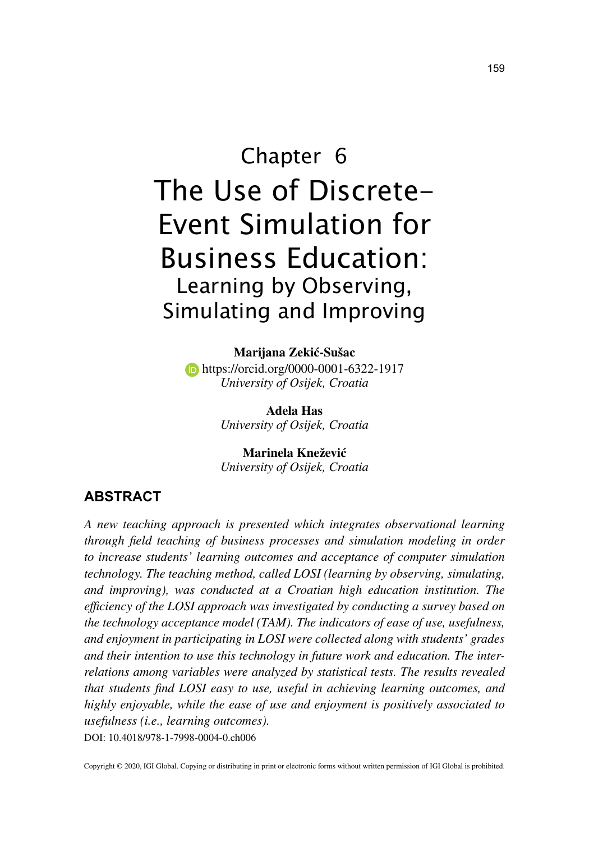# Chapter 6 The Use of Discrete-Event Simulation for Business Education: Learning by Observing, Simulating and Improving

**Marijana Zekić-Sušac b** https://orcid.org/0000-0001-6322-1917 *University of Osijek, Croatia*

> **Adela Has** *University of Osijek, Croatia*

> **Marinela Knežević** *University of Osijek, Croatia*

# **ABSTRACT**

DOI: 10.4018/978-1-7998-0004-0.ch006 *A new teaching approach is presented which integrates observational learning through field teaching of business processes and simulation modeling in order to increase students' learning outcomes and acceptance of computer simulation technology. The teaching method, called LOSI (learning by observing, simulating, and improving), was conducted at a Croatian high education institution. The efficiency of the LOSI approach was investigated by conducting a survey based on the technology acceptance model (TAM). The indicators of ease of use, usefulness, and enjoyment in participating in LOSI were collected along with students' grades and their intention to use this technology in future work and education. The interrelations among variables were analyzed by statistical tests. The results revealed that students find LOSI easy to use, useful in achieving learning outcomes, and highly enjoyable, while the ease of use and enjoyment is positively associated to usefulness (i.e., learning outcomes).*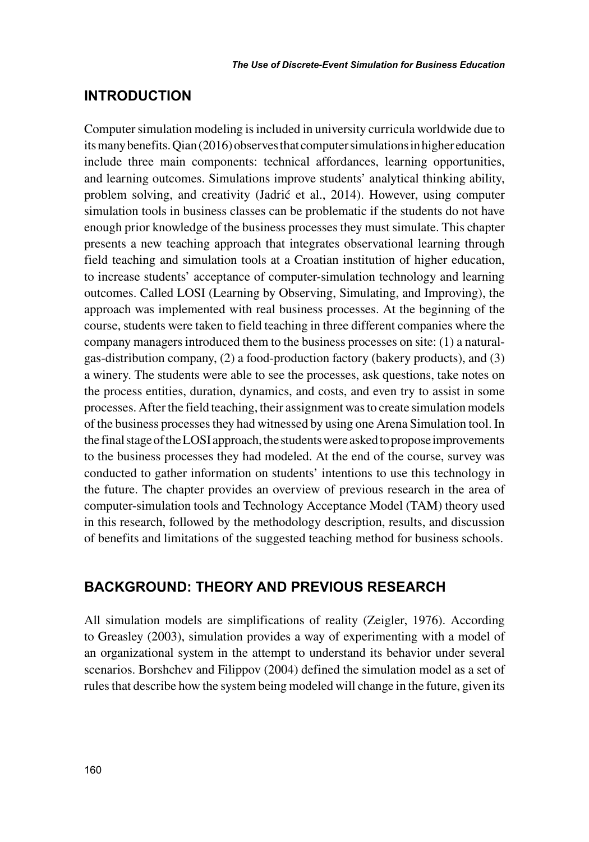## **INTRODUCTION**

Computer simulation modeling is included in university curricula worldwide due to its many benefits. Qian (2016) observes that computer simulations in higher education include three main components: technical affordances, learning opportunities, and learning outcomes. Simulations improve students' analytical thinking ability, problem solving, and creativity (Jadrić et al., 2014). However, using computer simulation tools in business classes can be problematic if the students do not have enough prior knowledge of the business processes they must simulate. This chapter presents a new teaching approach that integrates observational learning through field teaching and simulation tools at a Croatian institution of higher education, to increase students' acceptance of computer-simulation technology and learning outcomes. Called LOSI (Learning by Observing, Simulating, and Improving), the approach was implemented with real business processes. At the beginning of the course, students were taken to field teaching in three different companies where the company managers introduced them to the business processes on site: (1) a naturalgas-distribution company, (2) a food-production factory (bakery products), and (3) a winery. The students were able to see the processes, ask questions, take notes on the process entities, duration, dynamics, and costs, and even try to assist in some processes. After the field teaching, their assignment was to create simulation models of the business processes they had witnessed by using one Arena Simulation tool. In the final stage of the LOSI approach, the students were asked to propose improvements to the business processes they had modeled. At the end of the course, survey was conducted to gather information on students' intentions to use this technology in the future. The chapter provides an overview of previous research in the area of computer-simulation tools and Technology Acceptance Model (TAM) theory used in this research, followed by the methodology description, results, and discussion of benefits and limitations of the suggested teaching method for business schools.

# **BACKGROUND: THEORY AND PREVIOUS RESEARCH**

All simulation models are simplifications of reality (Zeigler, 1976). According to Greasley (2003), simulation provides a way of experimenting with a model of an organizational system in the attempt to understand its behavior under several scenarios. Borshchev and Filippov (2004) defined the simulation model as a set of rules that describe how the system being modeled will change in the future, given its